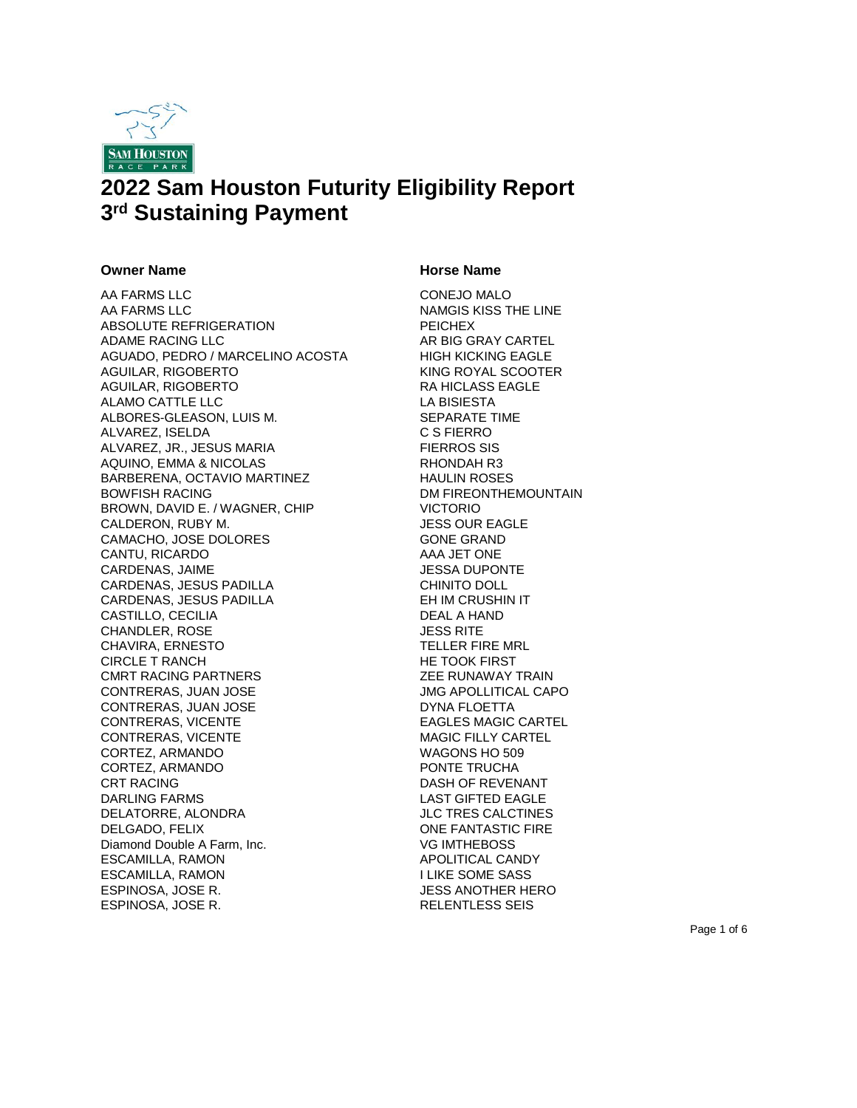

# **2022 Sam Houston Futurity Eligibility Report 3 rd Sustaining Payment**

### **Owner Name CONSERVING CONSERVANCE CONSERVANCE CONSERVANCE CONSERVANCE CONSERVANCE CONSERVANCE CONSERVANCE CONSERVANCE CONSERVANCE CONSERVANCE CONSERVANCE CONSERVANCE CONSERVANCE CONSERVANCE CONSERVANCE CONSERVANCE CONSE**

AA FARMS LLC CONEUR CONEUR MALO AA FARMS LLC NAMGIS KISS THE LINE ABSOLUTE REFRIGERATION PEICHEX ADAME RACING LLC AR BIG GRAY CARTEL AGUADO, PEDRO / MARCELINO ACOSTA HIGH KICKING EAGLE AGUILAR, RIGOBERTO KING ROYAL SCOOTER AGUILAR, RIGOBERTO **RA HICLASS EAGLE** ALAMO CATTLE LLC LA BISIESTA ALBORES-GLEASON, LUIS M. SEPARATE TIME ALVAREZ, ISELDA C S FIERRO ALVAREZ, JR., JESUS MARIA FIERROS SIS AQUINO, EMMA & NICOLAS RHONDAH R3 BARBERENA, OCTAVIO MARTINEZ HAULIN ROSES BOWFISH RACING **EXECUTE:** DM FIREONTHEMOUNTAIN BROWN, DAVID E. / WAGNER, CHIP VICTORIO CALDERON, RUBY M. JESS OUR EAGLE CAMACHO, JOSE DOLORES GONE GRAND CANTU, RICARDO AAA JET ONE CARDENAS, JAIME JESSA DUPONTE CARDENAS, JESUS PADILLA CHINITO DOLL CARDENAS, JESUS PADILLA EH IM CRUSHIN IT CASTILLO, CECILIA DEAL A HAND CHANDLER, ROSE JESS RITE CHAVIRA, ERNESTO TELLER FIRE MRL CIRCLE T RANCH HE TOOK FIRST CMRT RACING PARTNERS ZEE RUNAWAY TRAIN CONTRERAS, JUAN JOSE JMG APOLLITICAL CAPO CONTRERAS, JUAN JOSE DYNA FLOETTA CONTRERAS, VICENTE EAGLES MAGIC CARTEL CONTRERAS, VICENTE MAGIC FILLY CARTEL CORTEZ, ARMANDO WAGONS HO 509 CORTEZ, ARMANDO PONTE TRUCHA CRT RACING **DASH OF REVENANT** DARLING FARMS LAST GIFTED EAGLE DELATORRE, ALONDRA JLC TRES CALCTINES DELGADO, FELIX **ONE FANTASTIC FIRE** Diamond Double A Farm, Inc. VG IMTHEBOSS ESCAMILLA, RAMON APOLITICAL CANDY ESCAMILLA, RAMON I LIKE SOME SASS ESPINOSA, JOSE R. JESS ANOTHER HERO ESPINOSA, JOSE R. RELENTLESS SEIS

Page 1 of 6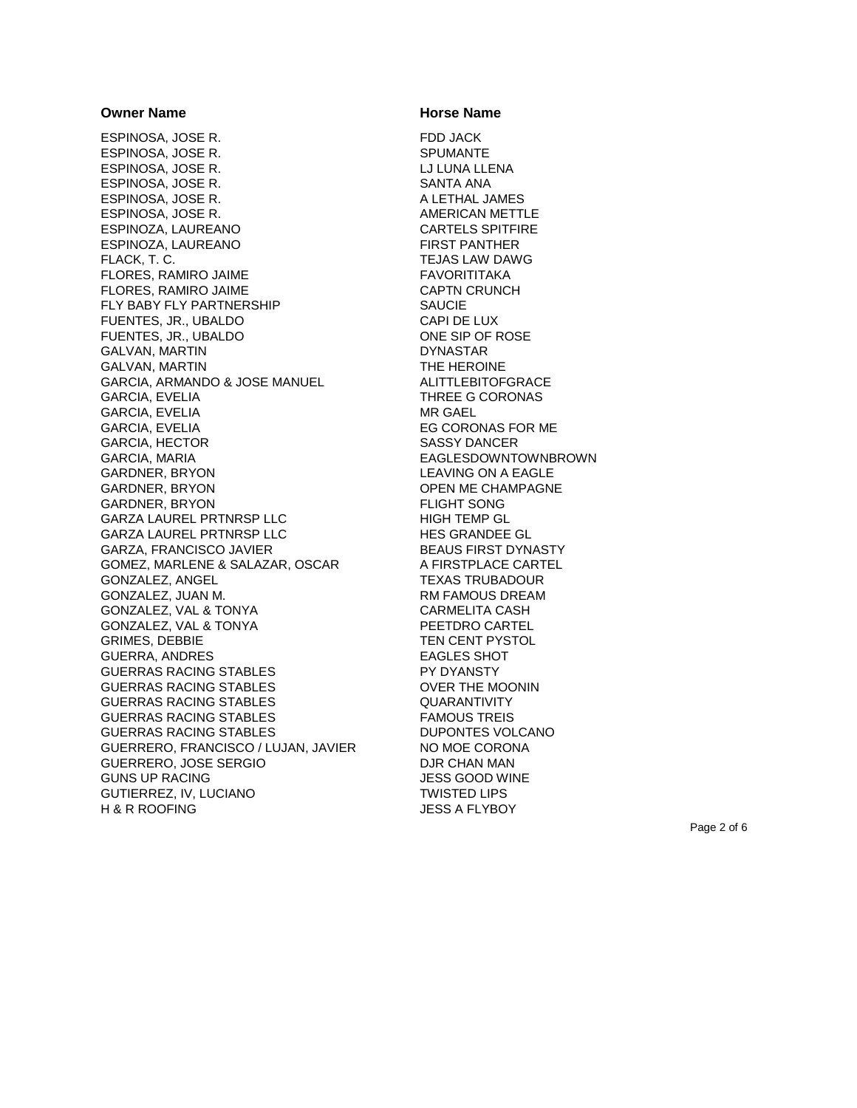ESPINOSA, JOSE R. FDD JACK ESPINOSA, JOSE R. ESPINOSA, JOSE R. NA LUITA EL LUNA LLENA ESPINOSA, JOSE R. SANTA ANA ESPINOSA, JOSE R. A LETHAL JAMES ESPINOSA, JOSE R. AMERICAN METTLE ESPINOZA, LAUREANO CARTELS SPITFIRE ESPINOZA, LAUREANO FIRST PANTHER FLACK, T. C. TEJAS LAW DAWG FLORES, RAMIRO JAIME FAVORITITAKA FLORES, RAMIRO JAIME CAPTN CRUNCH FLY BABY FLY PARTNERSHIP SAUCIE FUENTES, JR., UBALDO CAPI DE LUX FUENTES, JR., UBALDO ONE SIP OF ROSE GALVAN, MARTIN DYNASTAR GALVAN, MARTIN **THE HEROINE** GARCIA, ARMANDO & JOSE MANUEL ALITTLEBITOFGRACE GARCIA, EVELIA THREE G CORONAS GARCIA, EVELIA MR GAEL GARCIA, EVELIA EG CORONAS FOR ME GARCIA, HECTOR SASSY DANCER GARCIA, MARIA EAGLESDOWNTOWNBROWN GARDNER, BRYON LEAVING ON A EAGLE GARDNER, BRYON GARDON OPEN ME CHAMPAGNE<br>GARDNER, BRYON GARDON FLIGHT SONG GARDNER, BRYON GARZA LAUREL PRTNRSP LLC HIGH TEMP GL GARZA LAUREL PRTNRSP LLC HES GRANDEE GL GARZA, FRANCISCO JAVIER BEAUS FIRST DYNASTY GOMEZ, MARLENE & SALAZAR, OSCAR A FIRSTPLACE CARTEL GONZALEZ, ANGEL TEXAS TRUBADOUR GONZALEZ, JUAN M. **RAMOUS DREAM** GONZALEZ, VAL & TONYA CARMELITA CASH GONZALEZ, VAL & TONYA PEETDRO CARTEL GRIMES, DEBBIE TEN CENT PYSTOL GUERRA, ANDRES EAGLES SHOT GUERRAS RACING STABLES PY DYANSTY GUERRAS RACING STABLES OVER THE MOONIN GUERRAS RACING STABLES **GUARANTIVITY** GUERRAS RACING STABLES FAMOUS TREIS GUERRAS RACING STABLES DUPONTES VOLCANO GUERRERO, FRANCISCO / LUJAN, JAVIER NO MOE CORONA GUERRERO, JOSE SERGIO DJR CHAN MAN GUNS UP RACING JESS GOOD WINE GUTIERREZ, IV, LUCIANO TWISTED LIPS H & R ROOFING JESS A FLYBOY

### **Owner Name CONSERVING CONSERVANCE CONSERVANCE CONSERVANCE CONSERVANCE CONSERVANCE CONSERVANCE CONSERVANCE CONSERVANCE CONSERVANCE CONSERVANCE CONSERVANCE CONSERVANCE CONSERVANCE CONSERVANCE CONSERVANCE CONSERVANCE CONSE**

Page 2 of 6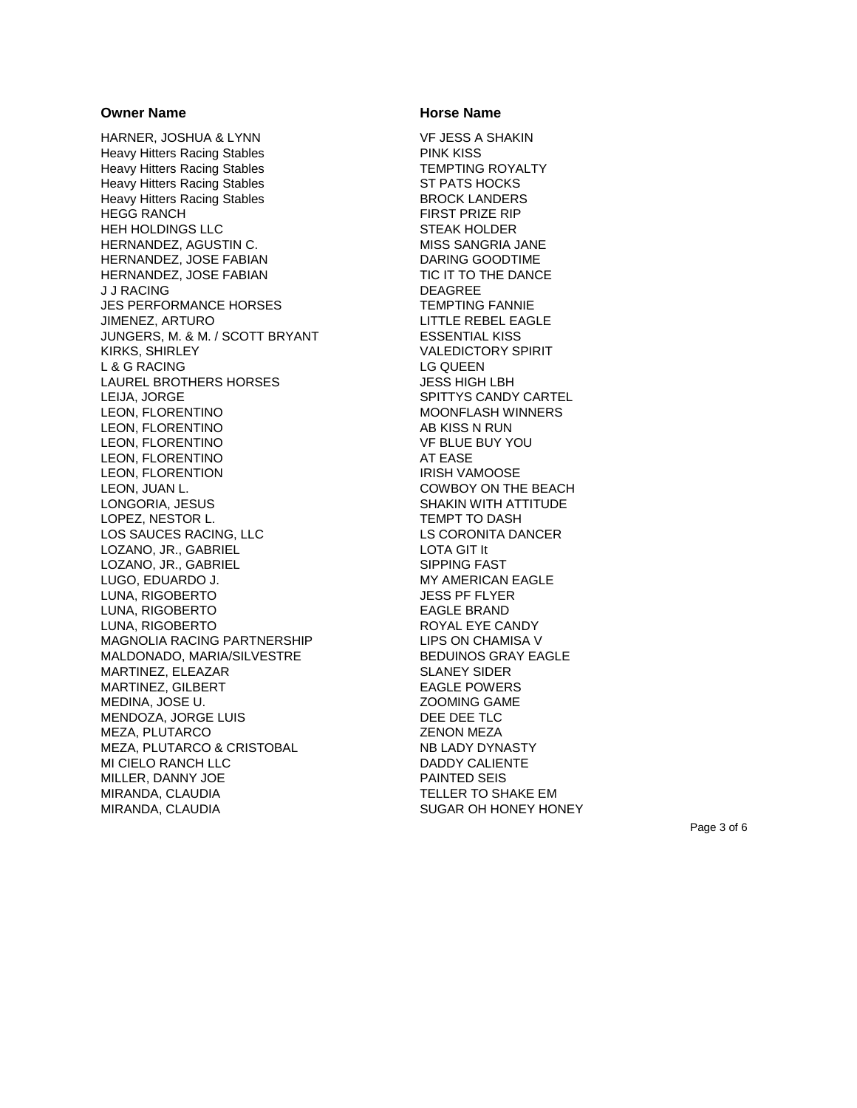HARNER, JOSHUA & LYNN<br>Heavy Hitters Racing Stables<br>PINK KISS Heavy Hitters Racing Stables Heavy Hitters Racing Stables TEMPTING ROYALTY Heavy Hitters Racing Stables ST PATS HOCKS Heavy Hitters Racing Stables BROCK LANDERS HEGG RANCH FIRST PRIZE RIP HEH HOLDINGS LLC STEAK HOLDER HERNANDEZ, AGUSTIN C. MISS SANGRIA JANE HERNANDEZ, JOSE FABIAN DARING GOODTIME HERNANDEZ, JOSE FABIAN TIC IT TO THE DANCE J J RACING DEAGREE JES PERFORMANCE HORSES TEMPTING FANNIE JIMENEZ, ARTURO LITTLE REBEL EAGLE JUNGERS, M . & M. / SCOTT BRYANT ESSENTIAL KISS KIRKS, SHIRLEY VALEDICTORY SPIRIT L & G RACING LETTER THE RESERVE THAT A LG QUEEN LAUREL BROTHERS HORSES **In the U.S. S. A. A. S. S. A. A. S. S. A.** S. S. HIGH LBH LEIJA, JORGE SPITTYS CANDY CARTEL LEON, FLORENTINO **MOONFLASH WINNERS** LEON, FLORENTINO AB KISS N RUN LEON, FLORENTINO VF BLUE BUY YOU LEON, FLORENTINO AT EASE LEON, FLORENTION IRISH VAMOOSE LEON, JUAN L. COWBOY ON THE BEACH LONGORIA, JESUS SHAKIN WITH ATTITUDE LOPEZ, NESTOR L. TEMPT TO DASH LOS SAUCES RACING, LLC LS CORONITA DANCER LOZANO, JR., GABRIEL LOTA GIT It LOZANO, JR., GABRIEL SIPPING FAST LUGO, EDUARDO J. MY AMERICAN EAGLE LUNA, RIGOBERTO JESS PF FLYER LUNA, RIGOBERTO EAGLE BRAND LUNA, RIGOBERTO **ROYAL EXECANDY** MAGNOLIA RACING PARTNERSHIP LIPS ON CHAMISA V MALDONADO, MARIA/SILVESTRE BEDUINOS GRAY EAGLE MARTINEZ, ELEAZAR SLANEY SIDER MARTINEZ, GILBERT EAGLE POWERS MEDINA, JOSE U. ZOOMING GAME MENDOZA, JORGE LUIS DEE DEE TLC MEZA, PLUTARCO ZENON MEZA MEZA, PLUTARCO & CRISTOBAL NB LADY DYNASTY MI CIELO RANCH LLC DADDY CALIENTE MILLER, DANNY JOE PAINTED SEIS MIRANDA, CLAUDIA TELLER TO SHAKE EM MIRANDA, CLAUDIA SUGAR OH HONEY HONEY

### **Owner Name CONSERVING CONSERVANCE CONSERVANCE CONSERVANCE CONSERVANCE CONSERVANCE CONSERVANCE CONSERVANCE CONSERVANCE CONSERVANCE CONSERVANCE CONSERVANCE CONSERVANCE CONSERVANCE CONSERVANCE CONSERVANCE CONSERVANCE CONSE**

Page 3 of 6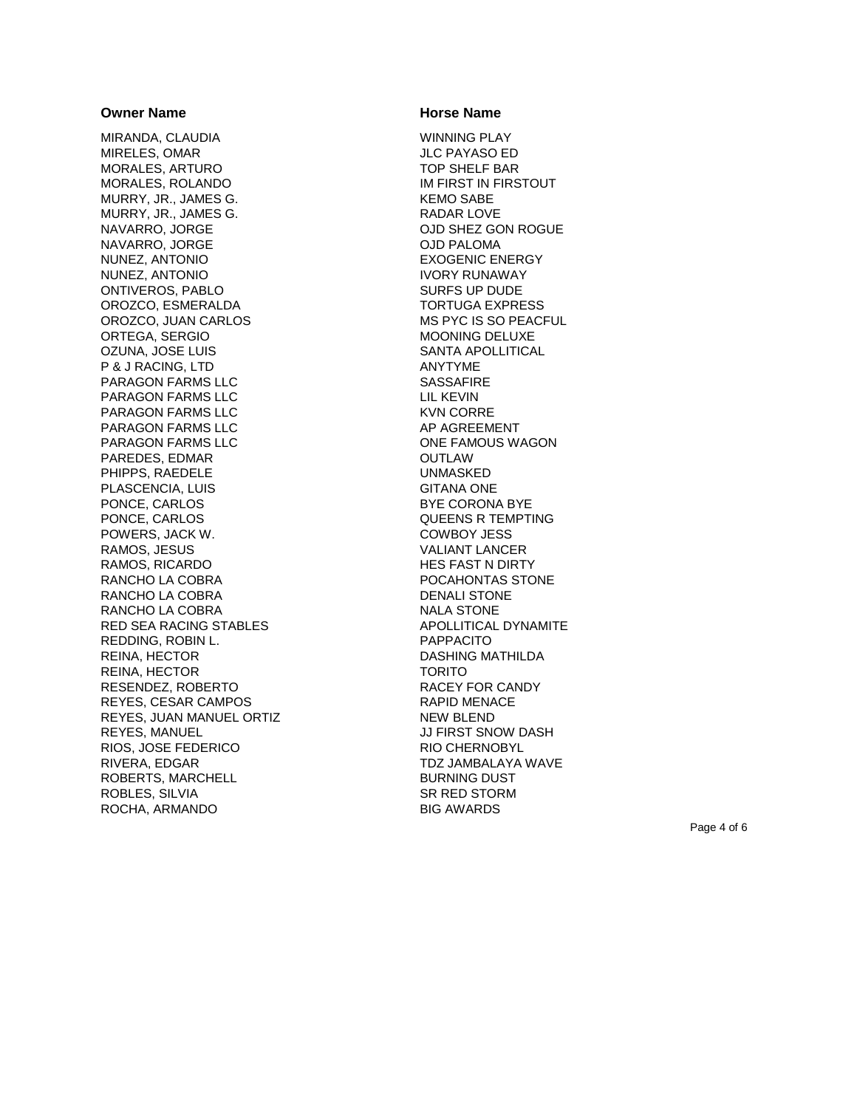MIRANDA, CLAUDIA WINNING PLAY MIRELES, OMAR MORALES, ARTURO TOP SHELF BAR MORALES, ROLANDO **IM FIRST IN FIRSTOUT** MURRY, JR., JAMES G. KEMO SABE MURRY, JR., JAMES G. KADAR LOVE NAVARRO, JORGE OJD SHEZ GON ROGUE NAVARRO, JORGE OJD PALOMA NUNEZ, ANTONIO **EXOGENIC ENERGY** NUNEZ, ANTONIO IVORY RUNAWAY ONTIVEROS, PABLO SURFS UP DUDE OROZCO, ESMERALDA TORTUGA EXPRESS OROZCO, JUAN CARLOS MS PYC IS SO PEACFUL ORTEGA, SERGIO **MOONING DELUXE** OZUNA, JOSE LUIS SANTA APOLLITICAL P & J RACING, LTD ANYTYME PARAGON FARMS LLC SASSAFIRE PARAGON FARMS LLC LIL KEVIN PARAGON FARMS LLC KVN CORRE PARAGON FARMS LLC AP AGREEMENT PARAGON FARMS LLC **CONE ARRIGON FARMOUS WAGON** PAREDES, EDMAR OUTLAW PHIPPS. RAEDELE UNMASKED PLASCENCIA, LUIS GITANA ONE PONCE, CARLOS BYE CORONA BYE PONCE, CARLOS **QUEENS R TEMPTING** POWERS, JACK W. COWBOY JESS RAMOS, JESUS VALIANT LANCER RAMOS, RICARDO **HES FAST N** DIRTY RANCHO LA COBRA POCAHONTAS STONE RANCHO LA COBRA DENALI STONE RANCHO LA COBRA NALA STONE RED SEA RACING STABLES APOLLITICAL DYNAMITE REDDING, ROBIN L. PAPPACITO REINA, HECTOR **EXECUTE A SERVICE SERVICE OF A SERVICE OF A DASHING MATHILDA** REINA, HECTOR TORITO RESENDEZ, ROBERTO RACEY FOR CANDY REYES, CESAR CAMPOS REYES, CESAR CAMPOS REYES, JUAN MANUEL ORTIZ NEW BLEND REYES, MANUEL **Internal and Security Contracts** JJ FIRST SNOW DASH RIOS, JOSE FEDERICO RIO CHERNOBYL RIVERA, EDGAR TOZ JAMBALAYA WAVE ROBERTS, MARCHELL BURNING DUST ROBLES, SILVIA SR RED STORM ROCHA, ARMANDO BIG AWARDS

### **Owner Name CONSERVING CONSERVANCE CONSERVANCE CONSERVANCE CONSERVANCE CONSERVANCE CONSERVANCE CONSERVANCE CONSERVANCE CONSERVANCE CONSERVANCE CONSERVANCE CONSERVANCE CONSERVANCE CONSERVANCE CONSERVANCE CONSERVANCE CONSE**

Page 4 of 6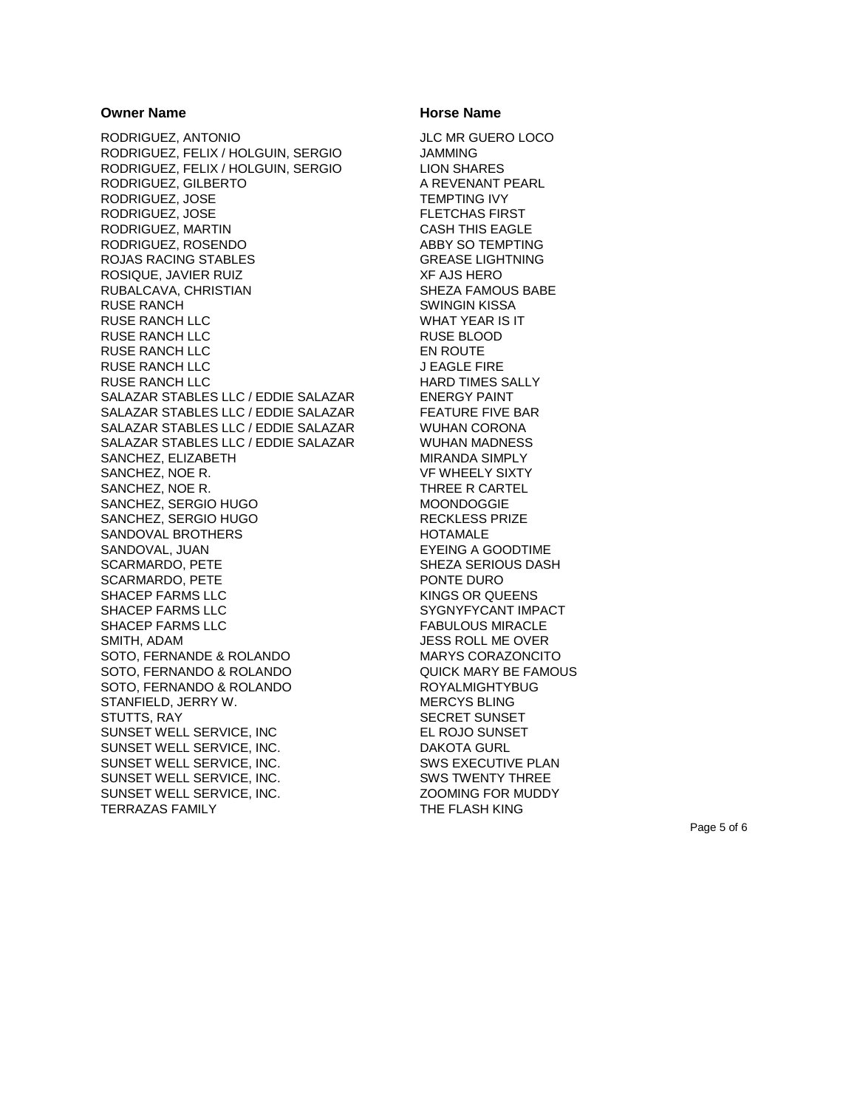RODRIGUEZ, ANTONIO JLC MR GUERO LOCO RODRIGUEZ, FELIX / HOLGUIN, SERGIO RODRIGUEZ, FELIX / HOLGUIN, SERGIO LION SHARES RODRIGUEZ, GILBERTO A REVENANT PEARL RODRIGUEZ, JOSE TEMPTING IVY RODRIGUEZ, JOSE FLETCHAS FIRST RODRIGUEZ, MARTIN CASH THIS EAGLE RODRIGUEZ, ROSENDO ABBY SO TEMPTING ROJAS RACING STABLES GREASE LIGHTNING ROSIQUE, JAVIER RUIZ XF AJS HERO RUBALCAVA, CHRISTIAN SHEZA FAMOUS BABE RUSE RANCH **SWINGIN KISSA** RUSE RANCH LLC WHAT YEAR IS IT RUSE RANCH LLC RUSE BLOOD RUSE RANCH LLC **EN ROUTE** RUSE RANCH LLC JEAGLE FIRE RUSE RANCH LLC **HARD TIMES SALLY** SALAZAR STABLES LLC / EDDIE SALAZAR ENERGY PAINT SALAZAR STABLES LLC / EDDIE SALAZAR FEATURE FIVE BAR SALAZAR STABLES LLC / EDDIE SALAZAR WUHAN CORONA SALAZAR STABLES LLC / EDDIE SALAZAR WUHAN MADNESS SANCHEZ, ELIZABETH MIRANDA SIMPLY SANCHEZ, NOE R. VF WHEELY SIXTY SANCHEZ, NOE R. THREE R CARTEL SANCHEZ, SERGIO HUGO MOONDOGGIE SANCHEZ, SERGIO HUGO RECKLESS PRIZE SANDOVAL BROTHERS HOTAMALE SANDOVAL, JUAN EYEING A GOODTIME SCARMARDO, PETE SHEZA SERIOUS DASH SCARMARDO, PETE PONTE DURO SHACEP FARMS LLC 
SHACEP FARMS LLC SHACEP FARMS LLC SYGNYFYCANT IMPACT SHACEP FARMS LLC **FABULOUS MIRACLE** SMITH, ADAM JESS ROLL ME OVER SOTO, FERNANDE & ROLANDO MARYS CORAZONCITO SOTO, FERNANDO & ROLANDO QUICK MARY BE FAMOUS SOTO, FERNANDO & ROLANDO AND ROYALMIGHTYBUG STANFIELD, JERRY W. NERCYS BLING STUTTS, RAY SECRET SUNSET SUNSET WELL SERVICE, INC<br>
EL ROJO SUNSET SUNSET WELL SERVICE, INC. The SUNSET WELL SERVICE, INC. SUNSET WELL SERVICE, INC. SWS EXECUTIVE PLAN SUNSET WELL SERVICE, INC. SWS TWENTY THREE SUNSET WELL SERVICE, INC.  $Z$  200MING FOR MUDDY TERRAZAS FAMILY **THE FLASH KING** 

### **Owner Name CONSERVING CONSERVANCE CONSERVANCE IN THE EXAMPLE AND HOTSE Name**

Page 5 of 6